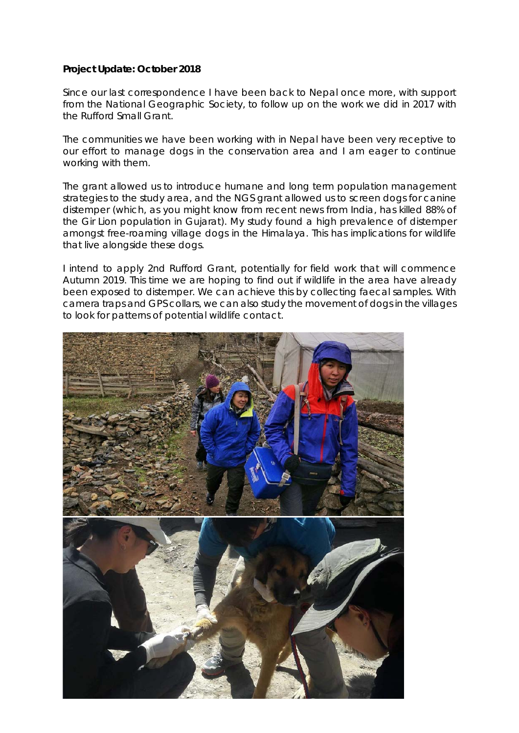## **Project Update: October 2018**

Since our last correspondence I have been back to Nepal once more, with support from the National Geographic Society, to follow up on the work we did in 2017 with the Rufford Small Grant.

The communities we have been working with in Nepal have been very receptive to our effort to manage dogs in the conservation area and I am eager to continue working with them.

The grant allowed us to introduce humane and long term population management strategies to the study area, and the NGS grant allowed us to screen dogs for canine distemper (which, as you might know from recent news from India, has killed 88% of the Gir Lion population in Gujarat). My study found a high prevalence of distemper amongst free-roaming village dogs in the Himalaya. This has implications for wildlife that live alongside these dogs.

I intend to apply 2nd Rufford Grant, potentially for field work that will commence Autumn 2019. This time we are hoping to find out if wildlife in the area have already been exposed to distemper. We can achieve this by collecting faecal samples. With camera traps and GPS collars, we can also study the movement of dogs in the villages to look for patterns of potential wildlife contact.

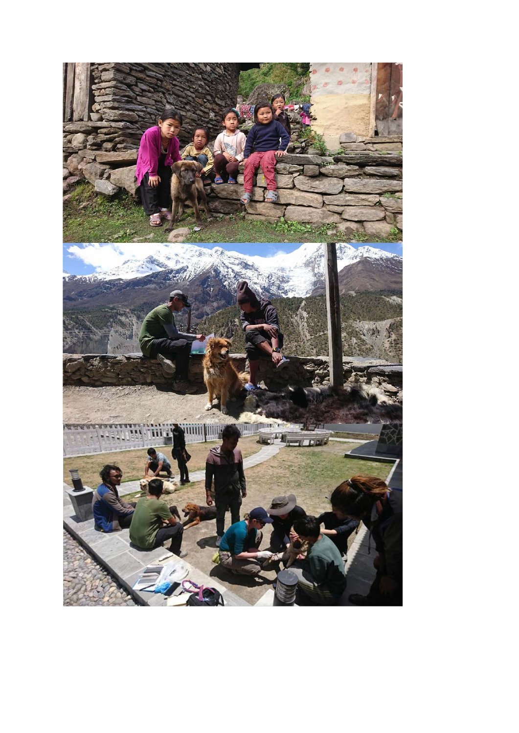